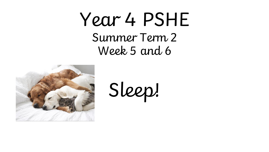# Year 4 PSHE Summer Term 2 Week 5 and 6



Sleep!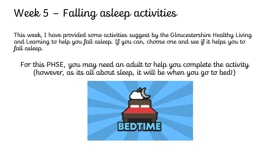## Week 5 – Falling asleep activities

This week, I have provided some activities suggest by the Gloucestershire Healthy Living and Learning to help you fall asleep. If you can, choose one and see if it helps you to fall asleep.

For this PHSE, you may need an adult to help you complete the activity (however, as its all about sleep, it will be when you go to bed!)

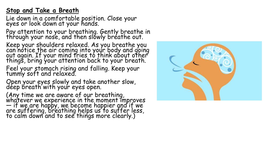## **Stop and Take a Breath**

Lie down in a comfortable position. Close your eyes or look down at your hands.

Pay attention to your breathing. Gently breathe in through your nos'e, and then slowly bréathe out.

Keep your shoulders relaxed. As you breathe you can notice the air coming into your body and going out again. If your mind tries to think about other things, bring your attention back to your breath.

Feel your stomach rising and falling. Keep your tummy soft and relaxed.

Open your eyes slowly and take another slow, deep breath with your eyes open.

(Any time we are aware of our breathing, whatever we experience in the moment improves  $-$  if we are happy, we become happier and if we are suffering, breathing helps us to suffer less, to calm down and to see things more clearly.)

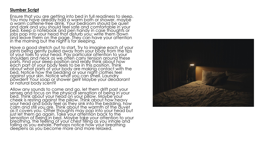## **Slumber Script**

Ensure that you are getting into bed in full readiness to sleep. You may have already had a warm bath or shower, maybe a warm caffeine-free drink. Your bedroom should be quiet and dark and you should feel safe and comfortable in your bed. Keep a notebook and pen handy in case thoughts or jobs pop into your head that disturb you; write them down and leave them on the page. They can have your attention in the morning but the night is for sleeping.

Have a good stretch out to start. Try to imagine each of your joints being gently pulled away from your body from the tips of your toes to your head. Pay particular attention to your shoulders and neck as we often carry tension around these parts. Find your sleep position and really think about how each part of your body feels to be in this position. Think about what parts of your body are making contact with the bed. Notice how the bedding or your night clothes feel against your skin. Notice what you can smell. Laundry powder? Your soap or shower gel? Maybe your deodorant or natural body scent?

Allow any sounds to come and go, let them drift past your senses and focus on the physical sensation of being in your bed. Think about your head on your pillow. Maybe your cheek is resting against the pillow. Think about how heavy your head and body feel as they sink into the bedding, how calm and still you are. Think about the warmth of the duvet as it covers you. Other thoughts may pop into your head but just let them go again. Take your attention back to the sensation of being in bed. Maybe take your attention to your breathing, the feeling of your chest filling as you inhale and falling as you exhale. Perhaps notice how your breathing deepens as you become more and more relaxed.

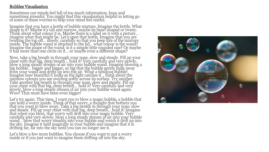## Bubbles Visualisation

Sometimes our minds feel full of too much information, busy and sometimes stressful. You might find this visualisation helpful in letting go of some of these worries to help your mind feel restful.

Imagine that you have a bottle of bubble mixture. Imagine the bottle. What shape is it? Maybe it's tall and narrow, maybe its heart shaped or twisty. Think about what colour it is. Maybe there is a label on it with a picture… imagine what that might be. Let's open that bottle. Imagine that you are twisting the top off… slowly, carefully so that you keep lots of the mixture inside. The bubble wand is attached to the lid… what colour is the wand? Imagine the shape of the wand; is it a simple little rounded one? Or maybe it has more than one circle on it… or maybe even a different shape?

Now, take a big breath in through your nose, slow and steady. Fill up your chest with that big, deep breath… hold it! Very carefully and very slowly, blow a long steady stream of air into your bubble wand. Imagine blowing a big bubble… bigger and bigger, so big that the bubble gently pulls away from your wand and drifts up into the air. What a fabulous bubble! Imagine how beautiful it looks as the light catches it… think about the rainbow colours you see swirling softly across its surface. Try another. Take another big breath in through your nose, slow and steady. Fill up your chest with that big, deep breath… hold it! Very carefully and very slowly, blow a long steady stream of air into your bubble wand again. Wow! That must have been even bigger!

Let's try again. This time, I want you to blow a magic bubble, a bubble that can hold a worry inside. Think of that worry, a thought that bothers you that you want to blow away. Take a big breath in through your nose, slow and steady. Fill up your chest with that big, deep breath... hold it! Imagine that when you blow, that worry will drift into your magic bubble. Very carefully and very slowly, blow a long steady stream of air into your bubble wand… blow that worry steadily into your bubble and watch it drift up into the sky. Imagine it held magically in your bubble and imagine that it is drifting far, far into the sky until you can no longer see it.

Let's blow a few more bubbles. You choose if you want to put a worry inside or if you just want to imagine them drifting off into the sky.

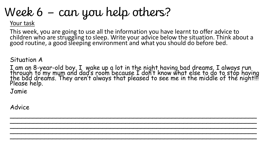# Week 6 – can you help others?

## Your task

This week, you are going to use all the information you have learnt to offer advice to children who are struggling to sleep. Write your advice below the situation. Think about a good routine, a good sleeping environment and what you should do before bed.

Situation A

I am an 8-year-old boy. I wake up a lot in the night having bad dreams. I always run through to my mum and dad's room because I don't know what else to do to stop having the bad dreams. They aren't always that pleased to see me in the middle of the night!!! Please help.

 $\sim$  . The contribution of the contribution of the contribution of the contribution of the contribution of the contribution \_\_\_\_\_\_\_\_\_\_\_\_\_\_\_\_\_\_\_\_\_\_\_\_\_\_\_\_\_\_\_\_\_\_\_\_\_\_\_\_\_\_\_\_\_\_\_\_\_\_\_\_\_\_\_\_\_\_\_\_\_\_\_\_ \_\_\_\_\_\_\_\_\_\_\_\_\_\_\_\_\_\_\_\_\_\_\_\_\_\_\_\_\_\_\_\_\_\_\_\_\_\_\_\_\_\_\_\_\_\_\_\_\_\_\_\_\_\_\_\_\_\_\_\_\_\_\_\_ \_\_\_\_\_\_\_\_\_\_\_\_\_\_\_\_\_\_\_\_\_\_\_\_\_\_\_\_\_\_\_\_\_\_\_\_\_\_\_\_\_\_\_\_\_\_\_\_\_\_\_\_\_\_\_\_\_\_\_\_\_\_\_\_ \_\_\_\_\_\_\_\_\_\_\_\_\_\_\_\_\_\_\_\_\_\_\_\_\_\_\_\_\_\_\_\_\_\_\_\_\_\_\_\_\_\_\_\_\_\_\_\_\_\_\_\_\_\_\_\_\_\_\_\_\_\_\_\_

Jamie

Advice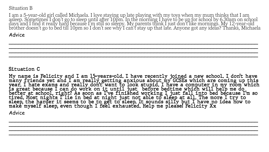## Situation B

I am a 5-year-old girl called Michaela. I love staying up late playing with my toys when my mum thinks that I am asleep. Sometimes I don't go to sleep until after 10pm. In the morning I have to be up for school by 6.30am on school days and I find it really hard because I'm still so sleepy. My parents think I just don't like mornings. My 12-year-old brother doesn't go to bed till 10pm so I don't see why'I can't stay up that late. Anyone got any ideas? Thanks, Michaela

\_\_\_\_\_\_\_\_\_\_\_\_\_\_\_\_\_\_\_\_\_\_\_\_\_\_\_\_\_\_\_\_\_\_\_\_\_\_\_\_\_\_\_\_\_\_\_\_\_\_\_\_\_\_\_\_\_\_\_\_\_\_\_\_\_\_\_\_\_\_\_\_\_\_\_\_\_\_\_ \_\_\_\_\_\_\_\_\_\_\_\_\_\_\_\_\_\_\_\_\_\_\_\_\_\_\_\_\_\_\_\_\_\_\_\_\_\_\_\_\_\_\_\_\_\_\_\_\_\_\_\_\_\_\_\_\_\_\_\_\_\_\_\_\_\_\_\_\_\_\_\_\_\_\_\_\_\_\_ \_\_\_\_\_\_\_\_\_\_\_\_\_\_\_\_\_\_\_\_\_\_\_\_\_\_\_\_\_\_\_\_\_\_\_\_\_\_\_\_\_\_\_\_\_\_\_\_\_\_\_\_\_\_\_\_\_\_\_\_\_\_\_\_\_\_\_\_\_\_\_\_\_\_\_\_\_\_\_ \_\_\_\_\_\_\_\_\_\_\_\_\_\_\_\_\_\_\_\_\_\_\_\_\_\_\_\_\_\_\_\_\_\_\_\_\_\_\_\_\_\_\_\_\_\_\_\_\_\_\_\_\_\_\_\_\_\_\_\_\_\_\_\_\_\_\_\_\_\_\_\_\_\_\_\_\_\_\_

Advice

## $S$ ituation  $C$

My name is Felicity and I am 15-years-old. I have recently joined a new school. I don't have<br>many friends yet and I am really getting anxious about my GCSEs which are coming up this<br>year. I hate exams and really don't want

\_\_\_\_\_\_\_\_\_\_\_\_\_\_\_\_\_\_\_\_\_\_\_\_\_\_\_\_\_\_\_\_\_\_\_\_\_\_\_\_\_\_\_\_\_\_\_\_\_\_\_\_\_\_\_\_\_\_\_\_\_\_\_\_\_\_\_\_\_\_\_\_\_\_\_\_\_\_\_ \_\_\_\_\_\_\_\_\_\_\_\_\_\_\_\_\_\_\_\_\_\_\_\_\_\_\_\_\_\_\_\_\_\_\_\_\_\_\_\_\_\_\_\_\_\_\_\_\_\_\_\_\_\_\_\_\_\_\_\_\_\_\_\_\_\_\_\_\_\_\_\_\_\_\_\_\_\_\_ \_\_\_\_\_\_\_\_\_\_\_\_\_\_\_\_\_\_\_\_\_\_\_\_\_\_\_\_\_\_\_\_\_\_\_\_\_\_\_\_\_\_\_\_\_\_\_\_\_\_\_\_\_\_\_\_\_\_\_\_\_\_\_\_\_\_\_\_\_\_\_\_\_\_\_\_\_\_\_ \_\_\_\_\_\_\_\_\_\_\_\_\_\_\_\_\_\_\_\_\_\_\_\_\_\_\_\_\_\_\_\_\_\_\_\_\_\_\_\_\_\_\_\_\_\_\_\_\_\_\_\_\_\_\_\_\_\_\_\_\_\_\_\_\_\_\_\_\_\_\_\_\_\_\_\_\_\_\_

Advice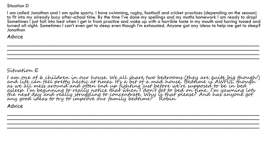### Situation D

I am called Jonathan and I am quite sporty. I have swimming, rugby, football and cricket practices (depending on the season) to fit into my already busy after-school time. By the time I've done my spellings and my maths homework I am ready to drop! Sometimes I just fall into bed when I get in from practice and wake up with a horrible taste in my mouth and having tossed and turned all night. Sometimes I can't even get to sleep even though I'm exhausted. Anyone got any ideas to help me get to sleep? Jonathan

\_\_\_\_\_\_\_\_\_\_\_\_\_\_\_\_\_\_\_\_\_\_\_\_\_\_\_\_\_\_\_\_\_\_\_\_\_\_\_\_\_\_\_\_\_\_\_\_\_\_\_\_\_\_\_\_\_\_\_\_\_\_\_\_\_\_\_\_\_\_\_\_\_\_\_\_\_\_\_\_ \_\_\_\_\_\_\_\_\_\_\_\_\_\_\_\_\_\_\_\_\_\_\_\_\_\_\_\_\_\_\_\_\_\_\_\_\_\_\_\_\_\_\_\_\_\_\_\_\_\_\_\_\_\_\_\_\_\_\_\_\_\_\_\_\_\_\_\_\_\_\_\_\_\_\_\_\_\_\_\_ \_\_\_\_\_\_\_\_\_\_\_\_\_\_\_\_\_\_\_\_\_\_\_\_\_\_\_\_\_\_\_\_\_\_\_\_\_\_\_\_\_\_\_\_\_\_\_\_\_\_\_\_\_\_\_\_\_\_\_\_\_\_\_\_\_\_\_\_\_\_\_\_\_\_\_\_\_\_\_\_ \_\_\_\_\_\_\_\_\_\_\_\_\_\_\_\_\_\_\_\_\_\_\_\_\_\_\_\_\_\_\_\_\_\_\_\_\_\_\_\_\_\_\_\_\_\_\_\_\_\_\_\_\_\_\_\_\_\_\_\_\_\_\_\_\_\_\_\_\_\_\_\_\_\_\_\_\_\_\_\_

Advice

## Situation E

I am one of 6 children in our house. We all share two bedrooms (they are quite big though!) and life can feel pretty hectic at times. It's a bit of a mad house. Bedtime is AWFUL though as we all mess around and often end up fighting just before we're supposed to be in bed asleep. I'm beginning to really notice that when I don't get to bed on time, I'm yawning lots the next day and really struggling to concentrate. Why is that please? And has anyone got any good ideas to try to improve our family bedtime? Robin

\_\_\_\_\_\_\_\_\_\_\_\_\_\_\_\_\_\_\_\_\_\_\_\_\_\_\_\_\_\_\_\_\_\_\_\_\_\_\_\_\_\_\_\_\_\_\_\_\_\_\_\_\_\_\_\_\_\_\_\_\_\_\_\_\_\_\_\_\_\_\_\_\_\_\_\_\_\_\_\_ \_\_\_\_\_\_\_\_\_\_\_\_\_\_\_\_\_\_\_\_\_\_\_\_\_\_\_\_\_\_\_\_\_\_\_\_\_\_\_\_\_\_\_\_\_\_\_\_\_\_\_\_\_\_\_\_\_\_\_\_\_\_\_\_\_\_\_\_\_\_\_\_\_\_\_\_\_\_\_\_ \_\_\_\_\_\_\_\_\_\_\_\_\_\_\_\_\_\_\_\_\_\_\_\_\_\_\_\_\_\_\_\_\_\_\_\_\_\_\_\_\_\_\_\_\_\_\_\_\_\_\_\_\_\_\_\_\_\_\_\_\_\_\_\_\_\_\_\_\_\_\_\_\_\_\_\_\_\_\_\_ \_\_\_\_\_\_\_\_\_\_\_\_\_\_\_\_\_\_\_\_\_\_\_\_\_\_\_\_\_\_\_\_\_\_\_\_\_\_\_\_\_\_\_\_\_\_\_\_\_\_\_\_\_\_\_\_\_\_\_\_\_\_\_\_\_\_\_\_\_\_\_\_\_\_\_\_\_\_\_\_

Advice